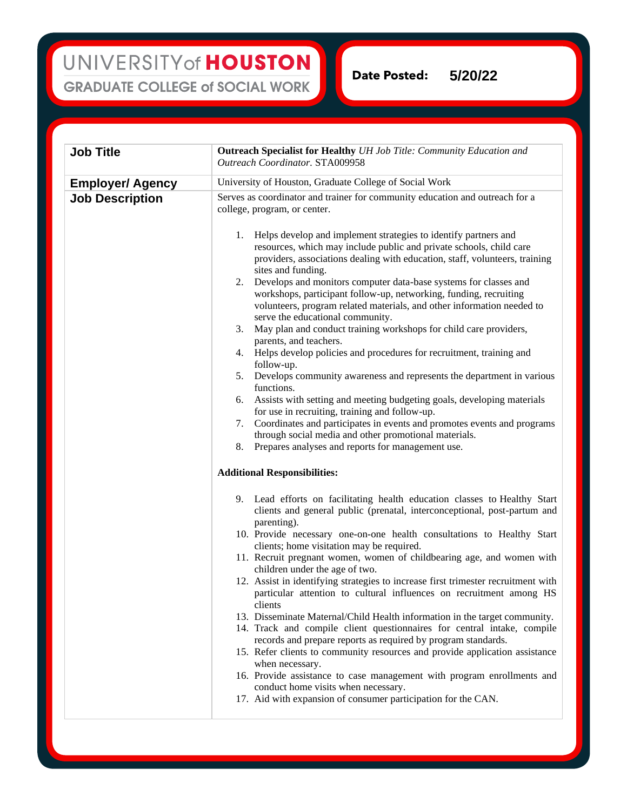**Date Posted: 5/20/22**

| <b>Job Title</b>        | <b>Outreach Specialist for Healthy UH Job Title: Community Education and</b><br>Outreach Coordinator. STA009958                                                                                                                                           |
|-------------------------|-----------------------------------------------------------------------------------------------------------------------------------------------------------------------------------------------------------------------------------------------------------|
| <b>Employer/ Agency</b> | University of Houston, Graduate College of Social Work                                                                                                                                                                                                    |
| <b>Job Description</b>  | Serves as coordinator and trainer for community education and outreach for a<br>college, program, or center.                                                                                                                                              |
|                         | Helps develop and implement strategies to identify partners and<br>1.<br>resources, which may include public and private schools, child care<br>providers, associations dealing with education, staff, volunteers, training<br>sites and funding.         |
|                         | Develops and monitors computer data-base systems for classes and<br>2.<br>workshops, participant follow-up, networking, funding, recruiting<br>volunteers, program related materials, and other information needed to<br>serve the educational community. |
|                         | May plan and conduct training workshops for child care providers,<br>3.<br>parents, and teachers.                                                                                                                                                         |
|                         | 4. Helps develop policies and procedures for recruitment, training and<br>follow-up.                                                                                                                                                                      |
|                         | 5. Develops community awareness and represents the department in various<br>functions.                                                                                                                                                                    |
|                         | Assists with setting and meeting budgeting goals, developing materials<br>6.<br>for use in recruiting, training and follow-up.                                                                                                                            |
|                         | Coordinates and participates in events and promotes events and programs<br>7.<br>through social media and other promotional materials.                                                                                                                    |
|                         | Prepares analyses and reports for management use.<br>8.                                                                                                                                                                                                   |
|                         | <b>Additional Responsibilities:</b>                                                                                                                                                                                                                       |
|                         | 9. Lead efforts on facilitating health education classes to Healthy Start<br>clients and general public (prenatal, interconceptional, post-partum and<br>parenting).                                                                                      |
|                         | 10. Provide necessary one-on-one health consultations to Healthy Start<br>clients; home visitation may be required.                                                                                                                                       |
|                         | 11. Recruit pregnant women, women of childbearing age, and women with<br>children under the age of two.                                                                                                                                                   |
|                         | 12. Assist in identifying strategies to increase first trimester recruitment with<br>particular attention to cultural influences on recruitment among HS<br>clients                                                                                       |
|                         | 13. Disseminate Maternal/Child Health information in the target community.<br>14. Track and compile client questionnaires for central intake, compile                                                                                                     |
|                         | records and prepare reports as required by program standards.<br>15. Refer clients to community resources and provide application assistance<br>when necessary.                                                                                           |
|                         | 16. Provide assistance to case management with program enrollments and<br>conduct home visits when necessary.                                                                                                                                             |
|                         | 17. Aid with expansion of consumer participation for the CAN.                                                                                                                                                                                             |